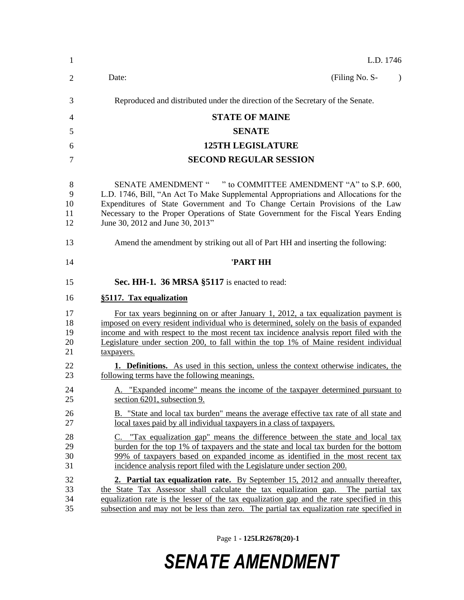| $\mathbf{1}$               | L.D. 1746                                                                                                                                                                                                                                                                                                                                                                       |
|----------------------------|---------------------------------------------------------------------------------------------------------------------------------------------------------------------------------------------------------------------------------------------------------------------------------------------------------------------------------------------------------------------------------|
| 2                          | Date:<br>(Filing No. S-<br>$\lambda$                                                                                                                                                                                                                                                                                                                                            |
| 3                          | Reproduced and distributed under the direction of the Secretary of the Senate.                                                                                                                                                                                                                                                                                                  |
| 4                          | <b>STATE OF MAINE</b>                                                                                                                                                                                                                                                                                                                                                           |
| 5                          | <b>SENATE</b>                                                                                                                                                                                                                                                                                                                                                                   |
| 6                          | <b>125TH LEGISLATURE</b>                                                                                                                                                                                                                                                                                                                                                        |
| 7                          | <b>SECOND REGULAR SESSION</b>                                                                                                                                                                                                                                                                                                                                                   |
| 8<br>9<br>10<br>11<br>12   | SENATE AMENDMENT " " to COMMITTEE AMENDMENT "A" to S.P. 600,<br>L.D. 1746, Bill, "An Act To Make Supplemental Appropriations and Allocations for the<br>Expenditures of State Government and To Change Certain Provisions of the Law<br>Necessary to the Proper Operations of State Government for the Fiscal Years Ending<br>June 30, 2012 and June 30, 2013"                  |
| 13                         | Amend the amendment by striking out all of Part HH and inserting the following:                                                                                                                                                                                                                                                                                                 |
| 14                         | 'PART HH                                                                                                                                                                                                                                                                                                                                                                        |
| 15                         | Sec. HH-1. 36 MRSA §5117 is enacted to read:                                                                                                                                                                                                                                                                                                                                    |
| 16                         | §5117. Tax equalization                                                                                                                                                                                                                                                                                                                                                         |
| 17<br>18<br>19<br>20<br>21 | For tax years beginning on or after January 1, 2012, a tax equalization payment is<br>imposed on every resident individual who is determined, solely on the basis of expanded<br>income and with respect to the most recent tax incidence analysis report filed with the<br>Legislature under section 200, to fall within the top 1% of Maine resident individual<br>taxpayers. |
| 22<br>23                   | <b>1. Definitions.</b> As used in this section, unless the context otherwise indicates, the<br>following terms have the following meanings.                                                                                                                                                                                                                                     |
| 24<br>25                   | A. "Expanded income" means the income of the taxpayer determined pursuant to<br>section 6201, subsection 9.                                                                                                                                                                                                                                                                     |
| 26<br>27                   | B. "State and local tax burden" means the average effective tax rate of all state and<br>local taxes paid by all individual taxpayers in a class of taxpayers.                                                                                                                                                                                                                  |
| 28<br>29<br>30<br>31       | C. "Tax equalization gap" means the difference between the state and local tax<br>burden for the top 1% of taxpayers and the state and local tax burden for the bottom<br>99% of taxpayers based on expanded income as identified in the most recent tax<br>incidence analysis report filed with the Legislature under section 200.                                             |
| 32<br>33<br>34<br>35       | 2. Partial tax equalization rate. By September 15, 2012 and annually thereafter,<br>the State Tax Assessor shall calculate the tax equalization gap. The partial tax<br>equalization rate is the lesser of the tax equalization gap and the rate specified in this<br>subsection and may not be less than zero. The partial tax equalization rate specified in                  |

Page 1 **- 125LR2678(20)-1**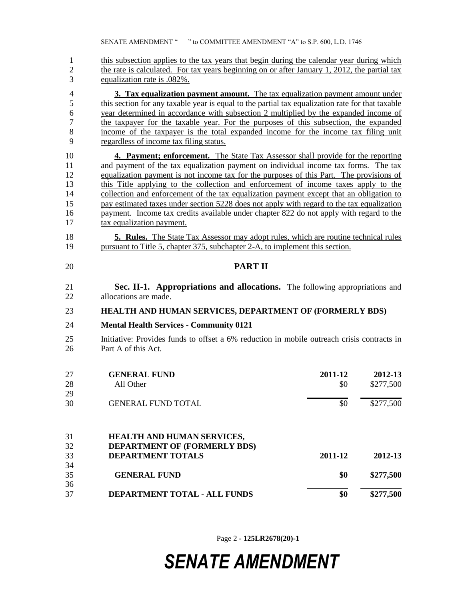1 this subsection applies to the tax years that begin during the calendar year during which 2 the rate is calculated. For tax years beginning on or after January 1, 2012, the partial tax equalization rate is .082%.

 **3. Tax equalization payment amount.** The tax equalization payment amount under 5 this section for any taxable year is equal to the partial tax equalization rate for that taxable year determined in accordance with subsection 2 multiplied by the expanded income of the taxpayer for the taxable year. For the purposes of this subsection, the expanded income of the taxpayer is the total expanded income for the income tax filing unit regardless of income tax filing status.

 **4. Payment; enforcement.** The State Tax Assessor shall provide for the reporting 11 and payment of the tax equalization payment on individual income tax forms. The tax equalization payment is not income tax for the purposes of this Part. The provisions of this Title applying to the collection and enforcement of income taxes apply to the collection and enforcement of the tax equalization payment except that an obligation to pay estimated taxes under section 5228 does not apply with regard to the tax equalization 16 payment. Income tax credits available under chapter 822 do not apply with regard to the tax equalization payment.

 **5. Rules.** The State Tax Assessor may adopt rules, which are routine technical rules pursuant to Title 5, chapter 375, subchapter 2-A, to implement this section.

- **PART II**
- **Sec. II-1. Appropriations and allocations.** The following appropriations and allocations are made.
- **HEALTH AND HUMAN SERVICES, DEPARTMENT OF (FORMERLY BDS)**

### **Mental Health Services - Community 0121**

 Initiative: Provides funds to offset a 6% reduction in mobile outreach crisis contracts in 26 Part A of this Act.

| 27 | <b>GENERAL FUND</b>                 | 2011-12 | 2012-13   |
|----|-------------------------------------|---------|-----------|
| 28 | All Other                           | \$0     | \$277,500 |
| 29 |                                     |         |           |
| 30 | <b>GENERAL FUND TOTAL</b>           | \$0     | \$277,500 |
| 31 | <b>HEALTH AND HUMAN SERVICES,</b>   |         |           |
| 32 | <b>DEPARTMENT OF (FORMERLY BDS)</b> |         |           |
| 33 | <b>DEPARTMENT TOTALS</b>            | 2011-12 | 2012-13   |
| 34 |                                     |         |           |
| 35 | <b>GENERAL FUND</b>                 | \$0     | \$277,500 |
| 36 |                                     |         |           |
| 37 | DEPARTMENT TOTAL - ALL FUNDS        | \$0     | \$277,500 |

Page 2 **- 125LR2678(20)-1**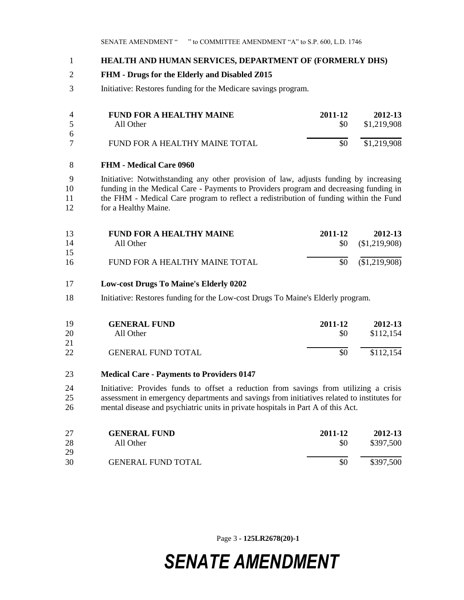### **HEALTH AND HUMAN SERVICES, DEPARTMENT OF (FORMERLY DHS)**

### **FHM - Drugs for the Elderly and Disabled Z015**

Initiative: Restores funding for the Medicare savings program.

| $\overline{4}$ | FUND FOR A HEALTHY MAINE       | 2011-12 | 2012-13     |
|----------------|--------------------------------|---------|-------------|
| $\sim$         | All Other                      | -80     | \$1,219,908 |
| -6             |                                |         |             |
|                | FUND FOR A HEALTHY MAINE TOTAL | \$0     | \$1,219,908 |

### **FHM - Medical Care 0960**

 Initiative: Notwithstanding any other provision of law, adjusts funding by increasing funding in the Medical Care - Payments to Providers program and decreasing funding in 11 the FHM - Medical Care program to reflect a redistribution of funding within the Fund for a Healthy Maine.

| 13 | <b>FUND FOR A HEALTHY MAINE</b> | 2011-12 | 2012-13                 |
|----|---------------------------------|---------|-------------------------|
| 14 | All Other                       |         | $$0 \quad ($1,219,908)$ |
| 15 |                                 |         |                         |
| 16 | FUND FOR A HEALTHY MAINE TOTAL  | \$0     | $(\$1,219,908)$         |

### **Low-cost Drugs To Maine's Elderly 0202**

Initiative: Restores funding for the Low-cost Drugs To Maine's Elderly program.

| 19       | <b>GENERAL FUND</b>       | 2011-12 | 2012-13   |
|----------|---------------------------|---------|-----------|
| 20       | All Other                 | \$0     | \$112,154 |
| 21<br>22 | <b>GENERAL FUND TOTAL</b> | \$0     | \$112,154 |

### **Medical Care - Payments to Providers 0147**

 Initiative: Provides funds to offset a reduction from savings from utilizing a crisis assessment in emergency departments and savings from initiatives related to institutes for mental disease and psychiatric units in private hospitals in Part A of this Act.

| 27<br>28 | <b>GENERAL FUND</b><br>All Other | 2011-12<br>\$0 | 2012-13<br>\$397,500 |
|----------|----------------------------------|----------------|----------------------|
| 29       |                                  |                |                      |
| 30       | <b>GENERAL FUND TOTAL</b>        | \$0            | \$397,500            |

Page 3 **- 125LR2678(20)-1**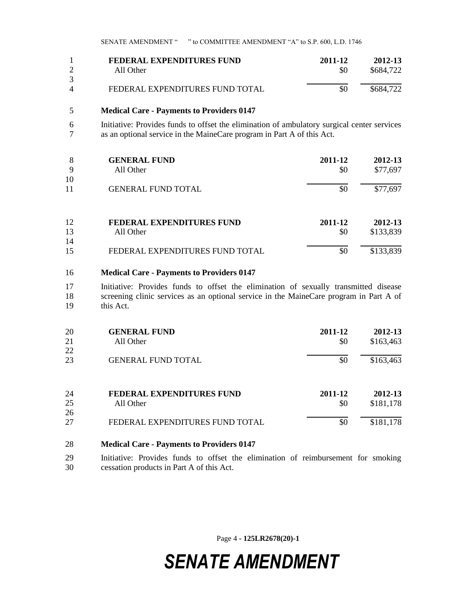| FEDERAL EXPENDITURES FUND       | 2011-12 | 2012-13   |
|---------------------------------|---------|-----------|
| All Other                       | \$0     | \$684.722 |
|                                 |         |           |
| FEDERAL EXPENDITURES FUND TOTAL | \$0     | \$684.722 |

### 5 **Medical Care - Payments to Providers 0147**

6 Initiative: Provides funds to offset the elimination of ambulatory surgical center services as an optional service in the MaineCare program in Part A of this Act. as an optional service in the MaineCare program in Part A of this Act.

| 8  | <b>GENERAL FUND</b>              | 2011-12 | 2012-13   |
|----|----------------------------------|---------|-----------|
| 9  | All Other                        | \$0     | \$77,697  |
| 10 |                                  |         |           |
| 11 | <b>GENERAL FUND TOTAL</b>        | \$0     | \$77,697  |
|    |                                  |         |           |
| 12 | <b>FEDERAL EXPENDITURES FUND</b> | 2011-12 | 2012-13   |
| 13 | All Other                        | \$0     | \$133,839 |
| 14 |                                  |         |           |
| 15 | FEDERAL EXPENDITURES FUND TOTAL  | \$0     | \$133,839 |

#### 16 **Medical Care - Payments to Providers 0147**

17 Initiative: Provides funds to offset the elimination of sexually transmitted disease 18 screening clinic services as an optional service in the MaineCare program in Part A of 19 this Act.

| 20<br>21<br>22 | <b>GENERAL FUND</b><br>All Other              | 2011-12<br>\$0 | 2012-13<br>\$163,463 |
|----------------|-----------------------------------------------|----------------|----------------------|
| 23             | <b>GENERAL FUND TOTAL</b>                     | \$0            | \$163,463            |
| 24<br>25       | <b>FEDERAL EXPENDITURES FUND</b><br>All Other | 2011-12<br>\$0 | 2012-13<br>\$181,178 |
| 26<br>27       | FEDERAL EXPENDITURES FUND TOTAL               | \$0            | \$181,178            |

### 28 **Medical Care - Payments to Providers 0147**

29 Initiative: Provides funds to offset the elimination of reimbursement for smoking 30 cessation products in Part A of this Act.

Page 4 **- 125LR2678(20)-1**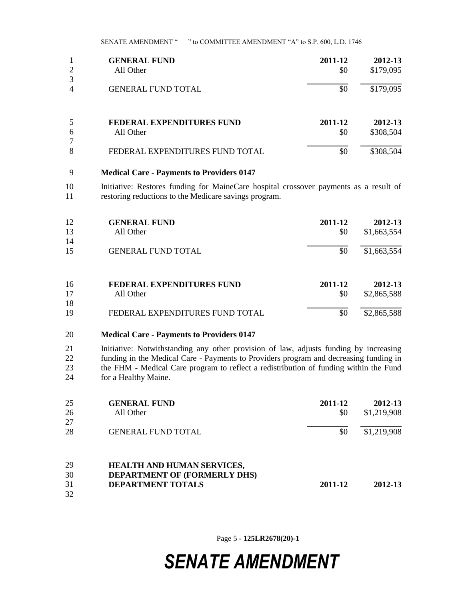SENATE AMENDMENT " " to COMMITTEE AMENDMENT "A" to S.P. 600, L.D. 1746

| $\overline{2}$      | <b>GENERAL FUND</b><br>All Other | 2011-12<br>\$0 | 2012-13<br>\$179,095 |
|---------------------|----------------------------------|----------------|----------------------|
| 3<br>$\overline{4}$ | <b>GENERAL FUND TOTAL</b>        | \$0            | \$179,095            |
|                     |                                  |                |                      |
| 5                   | FEDERAL EXPENDITURES FUND        | 2011-12        | 2012-13              |
| 6<br>7              | All Other                        | \$0            | \$308,504            |
| 8                   | FEDERAL EXPENDITURES FUND TOTAL  | \$0            | \$308,504            |

### 9 **Medical Care - Payments to Providers 0147**

10 Initiative: Restores funding for MaineCare hospital crossover payments as a result of 11 restoring reductions to the Medicare savings program.

| 12 | <b>GENERAL FUND</b>              | 2011-12 | 2012-13     |
|----|----------------------------------|---------|-------------|
| 13 | All Other                        | \$0     | \$1,663,554 |
| 14 |                                  |         |             |
| 15 | <b>GENERAL FUND TOTAL</b>        | \$0     | \$1,663,554 |
| 16 | <b>FEDERAL EXPENDITURES FUND</b> | 2011-12 | 2012-13     |
| 17 | All Other                        | \$0     | \$2,865,588 |
| 18 |                                  |         |             |
| 19 | FEDERAL EXPENDITURES FUND TOTAL  | \$0     | \$2,865,588 |

### 20 **Medical Care - Payments to Providers 0147**

 Initiative: Notwithstanding any other provision of law, adjusts funding by increasing 22 funding in the Medical Care - Payments to Providers program and decreasing funding in<br>23 the FHM - Medical Care program to reflect a redistribution of funding within the Fund the FHM - Medical Care program to reflect a redistribution of funding within the Fund for a Healthy Maine.

| 25 | <b>GENERAL FUND</b>               | 2011-12 | 2012-13     |
|----|-----------------------------------|---------|-------------|
| 26 | All Other                         | \$0     | \$1,219,908 |
| 27 |                                   |         |             |
| 28 | <b>GENERAL FUND TOTAL</b>         | \$0     | \$1,219,908 |
|    |                                   |         |             |
| 29 | <b>HEALTH AND HUMAN SERVICES,</b> |         |             |
| 30 | DEPARTMENT OF (FORMERLY DHS)      |         |             |
| 31 | <b>DEPARTMENT TOTALS</b>          | 2011-12 | 2012-13     |
| 32 |                                   |         |             |

Page 5 **- 125LR2678(20)-1**